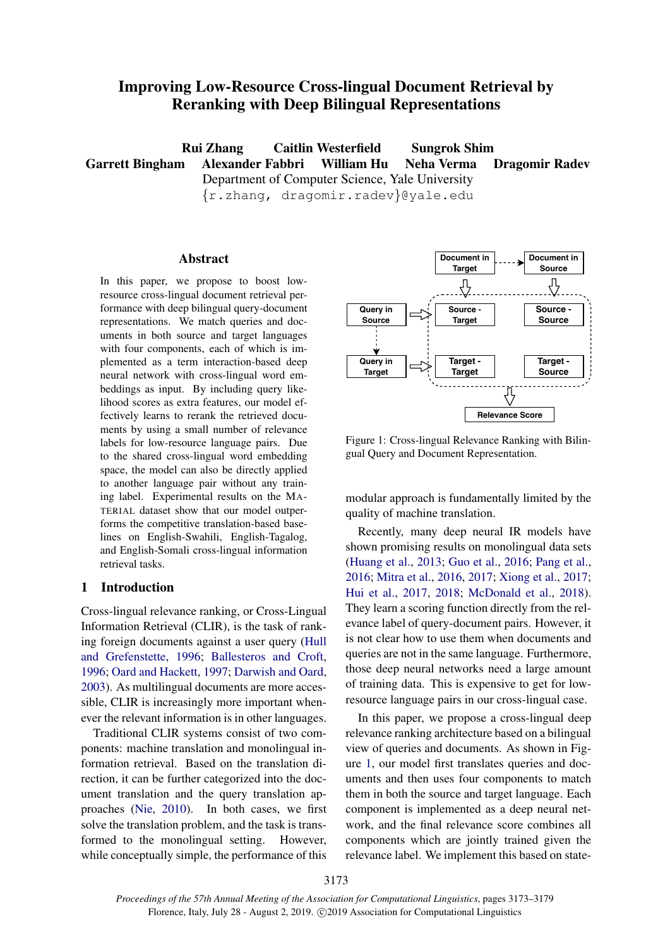# Improving Low-Resource Cross-lingual Document Retrieval by Reranking with Deep Bilingual Representations

Rui Zhang Caitlin Westerfield Sungrok Shim Garrett Bingham Alexander Fabbri William Hu Neha Verma Dragomir Radev Department of Computer Science, Yale University {r.zhang, dragomir.radev}@yale.edu

### Abstract

In this paper, we propose to boost lowresource cross-lingual document retrieval performance with deep bilingual query-document representations. We match queries and documents in both source and target languages with four components, each of which is implemented as a term interaction-based deep neural network with cross-lingual word embeddings as input. By including query likelihood scores as extra features, our model effectively learns to rerank the retrieved documents by using a small number of relevance labels for low-resource language pairs. Due to the shared cross-lingual word embedding space, the model can also be directly applied to another language pair without any training label. Experimental results on the MA-TERIAL dataset show that our model outperforms the competitive translation-based baselines on English-Swahili, English-Tagalog, and English-Somali cross-lingual information retrieval tasks.

#### 1 Introduction

Cross-lingual relevance ranking, or Cross-Lingual Information Retrieval (CLIR), is the task of ranking foreign documents against a user query [\(Hull](#page-5-0) [and Grefenstette,](#page-5-0) [1996;](#page-5-0) [Ballesteros and Croft,](#page-5-1) [1996;](#page-5-1) [Oard and Hackett,](#page-6-0) [1997;](#page-6-0) [Darwish and Oard,](#page-5-2) [2003\)](#page-5-2). As multilingual documents are more accessible, CLIR is increasingly more important whenever the relevant information is in other languages.

Traditional CLIR systems consist of two components: machine translation and monolingual information retrieval. Based on the translation direction, it can be further categorized into the document translation and the query translation approaches [\(Nie,](#page-6-1) [2010\)](#page-6-1). In both cases, we first solve the translation problem, and the task is transformed to the monolingual setting. However, while conceptually simple, the performance of this

<span id="page-0-0"></span>

Figure 1: Cross-lingual Relevance Ranking with Bilingual Query and Document Representation.

modular approach is fundamentally limited by the quality of machine translation.

Recently, many deep neural IR models have shown promising results on monolingual data sets [\(Huang et al.,](#page-5-3) [2013;](#page-5-3) [Guo et al.,](#page-5-4) [2016;](#page-5-4) [Pang et al.,](#page-6-2) [2016;](#page-6-2) [Mitra et al.,](#page-6-3) [2016,](#page-6-3) [2017;](#page-6-4) [Xiong et al.,](#page-6-5) [2017;](#page-6-5) [Hui et al.,](#page-5-5) [2017,](#page-5-5) [2018;](#page-5-6) [McDonald et al.,](#page-5-7) [2018\)](#page-5-7). They learn a scoring function directly from the relevance label of query-document pairs. However, it is not clear how to use them when documents and queries are not in the same language. Furthermore, those deep neural networks need a large amount of training data. This is expensive to get for lowresource language pairs in our cross-lingual case.

In this paper, we propose a cross-lingual deep relevance ranking architecture based on a bilingual view of queries and documents. As shown in Figure [1,](#page-0-0) our model first translates queries and documents and then uses four components to match them in both the source and target language. Each component is implemented as a deep neural network, and the final relevance score combines all components which are jointly trained given the relevance label. We implement this based on state-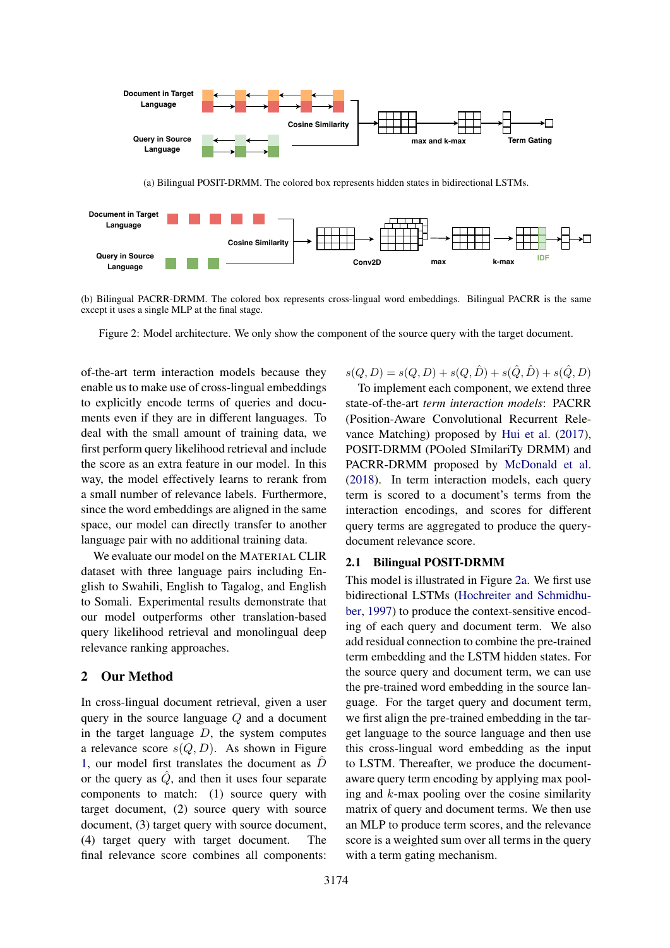<span id="page-1-0"></span>

(b) Bilingual PACRR-DRMM. The colored box represents cross-lingual word embeddings. Bilingual PACRR is the same except it uses a single MLP at the final stage.

Figure 2: Model architecture. We only show the component of the source query with the target document.

of-the-art term interaction models because they enable us to make use of cross-lingual embeddings to explicitly encode terms of queries and documents even if they are in different languages. To deal with the small amount of training data, we first perform query likelihood retrieval and include the score as an extra feature in our model. In this way, the model effectively learns to rerank from a small number of relevance labels. Furthermore, since the word embeddings are aligned in the same space, our model can directly transfer to another language pair with no additional training data.

We evaluate our model on the MATERIAL CLIR dataset with three language pairs including English to Swahili, English to Tagalog, and English to Somali. Experimental results demonstrate that our model outperforms other translation-based query likelihood retrieval and monolingual deep relevance ranking approaches.

### 2 Our Method

**Query in Source Language**

In cross-lingual document retrieval, given a user query in the source language Q and a document in the target language  $D$ , the system computes a relevance score  $s(Q, D)$ . As shown in Figure [1,](#page-0-0) our model first translates the document as  $\ddot{D}$ or the query as  $\hat{Q}$ , and then it uses four separate components to match: (1) source query with target document, (2) source query with source document, (3) target query with source document, (4) target query with target document. The final relevance score combines all components:

 $s(Q, D) = s(Q, D) + s(Q, \hat{D}) + s(\hat{Q}, \hat{D}) + s(\hat{Q}, D)$ 

**Conv2D max k-max IDF**

To implement each component, we extend three state-of-the-art *term interaction models*: PACRR (Position-Aware Convolutional Recurrent Relevance Matching) proposed by [Hui et al.](#page-5-5) [\(2017\)](#page-5-5), POSIT-DRMM (POoled SImilariTy DRMM) and PACRR-DRMM proposed by [McDonald et al.](#page-5-7) [\(2018\)](#page-5-7). In term interaction models, each query term is scored to a document's terms from the interaction encodings, and scores for different query terms are aggregated to produce the querydocument relevance score.

### 2.1 Bilingual POSIT-DRMM

This model is illustrated in Figure [2a.](#page-1-0) We first use bidirectional LSTMs [\(Hochreiter and Schmidhu](#page-5-8)[ber,](#page-5-8) [1997\)](#page-5-8) to produce the context-sensitive encoding of each query and document term. We also add residual connection to combine the pre-trained term embedding and the LSTM hidden states. For the source query and document term, we can use the pre-trained word embedding in the source language. For the target query and document term, we first align the pre-trained embedding in the target language to the source language and then use this cross-lingual word embedding as the input to LSTM. Thereafter, we produce the documentaware query term encoding by applying max pooling and  $k$ -max pooling over the cosine similarity matrix of query and document terms. We then use an MLP to produce term scores, and the relevance score is a weighted sum over all terms in the query with a term gating mechanism.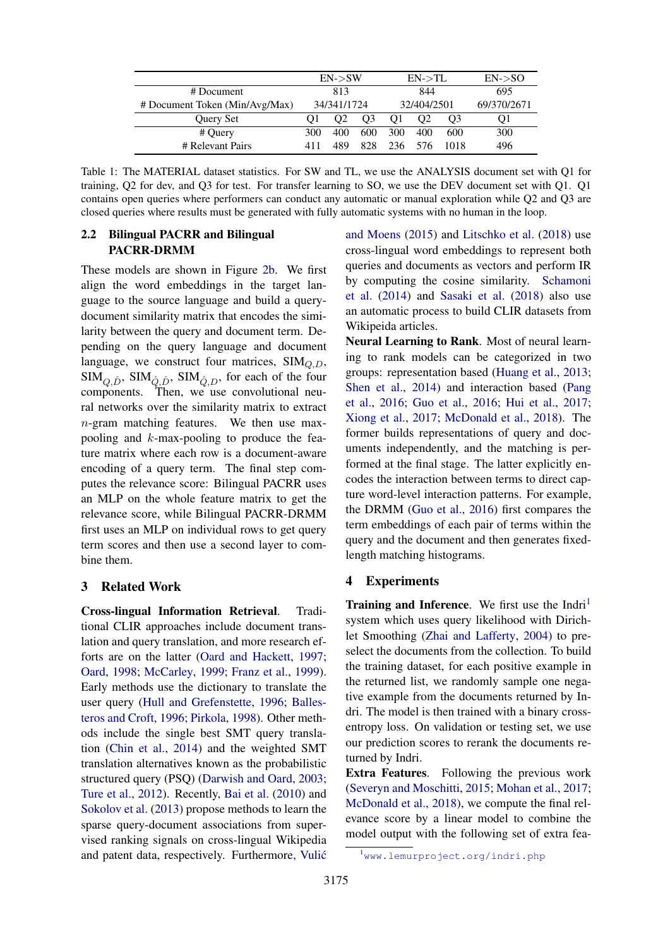<span id="page-2-1"></span>

|                                | $EN->SW$    |     |     | $EN\rightarrow TL$ |     |                | $EN->SO$    |  |
|--------------------------------|-------------|-----|-----|--------------------|-----|----------------|-------------|--|
| # Document                     | 813         |     |     | 844                |     |                | 695         |  |
| # Document Token (Min/Avg/Max) | 34/341/1724 |     |     | 32/404/2501        |     |                | 69/370/2671 |  |
| Query Set                      |             | O2  | O3  | O1                 | O2  | O <sub>3</sub> | Ol          |  |
| # Query                        | 300         | 400 | 600 | 300                | 400 | 600            | 300         |  |
| # Relevant Pairs               | 411         | 489 | 828 | 236                | 576 | 1018           | 496         |  |

Table 1: The MATERIAL dataset statistics. For SW and TL, we use the ANALYSIS document set with Q1 for training, Q2 for dev, and Q3 for test. For transfer learning to SO, we use the DEV document set with Q1. Q1 contains open queries where performers can conduct any automatic or manual exploration while Q2 and Q3 are closed queries where results must be generated with fully automatic systems with no human in the loop.

# 2.2 Bilingual PACRR and Bilingual PACRR-DRMM

These models are shown in Figure [2b.](#page-1-0) We first align the word embeddings in the target language to the source language and build a querydocument similarity matrix that encodes the similarity between the query and document term. Depending on the query language and document language, we construct four matrices,  $SIM<sub>Q,D</sub>$ ,  $SIM_{Q,\hat{D}}$ ,  $SIM_{\hat{Q},\hat{D}}$ ,  $SIM_{\hat{Q},D}$ , for each of the four components. Then, we use convolutional neural networks over the similarity matrix to extract n-gram matching features. We then use maxpooling and  $k$ -max-pooling to produce the feature matrix where each row is a document-aware encoding of a query term. The final step computes the relevance score: Bilingual PACRR uses an MLP on the whole feature matrix to get the relevance score, while Bilingual PACRR-DRMM first uses an MLP on individual rows to get query term scores and then use a second layer to combine them.

### 3 Related Work

Cross-lingual Information Retrieval. Traditional CLIR approaches include document translation and query translation, and more research efforts are on the latter [\(Oard and Hackett,](#page-6-0) [1997;](#page-6-0) [Oard,](#page-6-6) [1998;](#page-6-6) [McCarley,](#page-5-9) [1999;](#page-5-9) [Franz et al.,](#page-5-10) [1999\)](#page-5-10). Early methods use the dictionary to translate the user query [\(Hull and Grefenstette,](#page-5-0) [1996;](#page-5-0) [Balles](#page-5-1)[teros and Croft,](#page-5-1) [1996;](#page-5-1) [Pirkola,](#page-6-7) [1998\)](#page-6-7). Other methods include the single best SMT query translation [\(Chin et al.,](#page-5-11) [2014\)](#page-5-11) and the weighted SMT translation alternatives known as the probabilistic structured query (PSQ) [\(Darwish and Oard,](#page-5-2) [2003;](#page-5-2) [Ture et al.,](#page-6-8) [2012\)](#page-6-8). Recently, [Bai et al.](#page-5-12) [\(2010\)](#page-5-12) and [Sokolov et al.](#page-6-9) [\(2013\)](#page-6-9) propose methods to learn the sparse query-document associations from supervised ranking signals on cross-lingual Wikipedia and patent data, respectively. Furthermore, [Vulic´](#page-6-10)

[and Moens](#page-6-10) [\(2015\)](#page-6-10) and [Litschko et al.](#page-5-13) [\(2018\)](#page-5-13) use cross-lingual word embeddings to represent both queries and documents as vectors and perform IR by computing the cosine similarity. [Schamoni](#page-6-11) [et al.](#page-6-11) [\(2014\)](#page-6-11) and [Sasaki et al.](#page-6-12) [\(2018\)](#page-6-12) also use an automatic process to build CLIR datasets from Wikipeida articles.

Neural Learning to Rank. Most of neural learning to rank models can be categorized in two groups: representation based [\(Huang et al.,](#page-5-3) [2013;](#page-5-3) [Shen et al.,](#page-6-13) [2014\)](#page-6-13) and interaction based [\(Pang](#page-6-2) [et al.,](#page-6-2) [2016;](#page-6-2) [Guo et al.,](#page-5-4) [2016;](#page-5-4) [Hui et al.,](#page-5-5) [2017;](#page-5-5) [Xiong et al.,](#page-6-5) [2017;](#page-6-5) [McDonald et al.,](#page-5-7) [2018\)](#page-5-7). The former builds representations of query and documents independently, and the matching is performed at the final stage. The latter explicitly encodes the interaction between terms to direct capture word-level interaction patterns. For example, the DRMM [\(Guo et al.,](#page-5-4) [2016\)](#page-5-4) first compares the term embeddings of each pair of terms within the query and the document and then generates fixedlength matching histograms.

### 4 Experiments

**Training and Inference.** We first use the Indri<sup>[1](#page-2-0)</sup> system which uses query likelihood with Dirichlet Smoothing [\(Zhai and Lafferty,](#page-6-14) [2004\)](#page-6-14) to preselect the documents from the collection. To build the training dataset, for each positive example in the returned list, we randomly sample one negative example from the documents returned by Indri. The model is then trained with a binary crossentropy loss. On validation or testing set, we use our prediction scores to rerank the documents returned by Indri.

Extra Features. Following the previous work [\(Severyn and Moschitti,](#page-6-15) [2015;](#page-6-15) [Mohan et al.,](#page-6-16) [2017;](#page-6-16) [McDonald et al.,](#page-5-7) [2018\)](#page-5-7), we compute the final relevance score by a linear model to combine the model output with the following set of extra fea-

<span id="page-2-0"></span><sup>&</sup>lt;sup>1</sup><www.lemurproject.org/indri.php>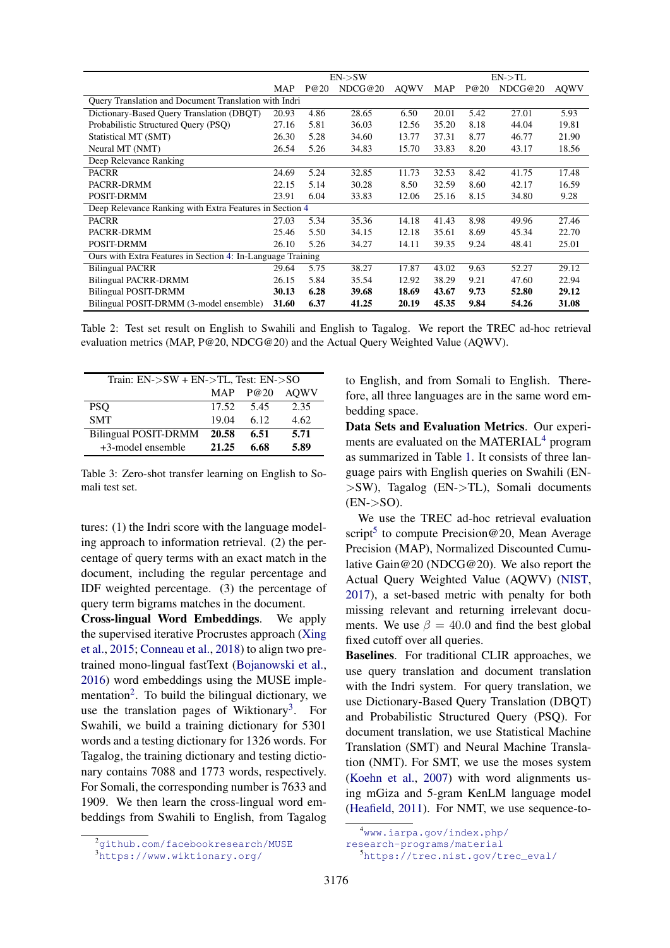<span id="page-3-5"></span>

|                                                             | $EN->SW$ |      |         | $EN->TL$ |       |      |         |             |
|-------------------------------------------------------------|----------|------|---------|----------|-------|------|---------|-------------|
|                                                             | MAP      | P@20 | NDCG@20 | AQWV     | MAP   | P@20 | NDCG@20 | <b>AQWV</b> |
| Query Translation and Document Translation with Indri       |          |      |         |          |       |      |         |             |
| Dictionary-Based Query Translation (DBQT)                   | 20.93    | 4.86 | 28.65   | 6.50     | 20.01 | 5.42 | 27.01   | 5.93        |
| Probabilistic Structured Ouery (PSO)                        | 27.16    | 5.81 | 36.03   | 12.56    | 35.20 | 8.18 | 44.04   | 19.81       |
| Statistical MT (SMT)                                        | 26.30    | 5.28 | 34.60   | 13.77    | 37.31 | 8.77 | 46.77   | 21.90       |
| Neural MT (NMT)                                             | 26.54    | 5.26 | 34.83   | 15.70    | 33.83 | 8.20 | 43.17   | 18.56       |
| Deep Relevance Ranking                                      |          |      |         |          |       |      |         |             |
| <b>PACRR</b>                                                | 24.69    | 5.24 | 32.85   | 11.73    | 32.53 | 8.42 | 41.75   | 17.48       |
| PACRR-DRMM                                                  | 22.15    | 5.14 | 30.28   | 8.50     | 32.59 | 8.60 | 42.17   | 16.59       |
| POSIT-DRMM                                                  | 23.91    | 6.04 | 33.83   | 12.06    | 25.16 | 8.15 | 34.80   | 9.28        |
| Deep Relevance Ranking with Extra Features in Section 4     |          |      |         |          |       |      |         |             |
| <b>PACRR</b>                                                | 27.03    | 5.34 | 35.36   | 14.18    | 41.43 | 8.98 | 49.96   | 27.46       |
| PACRR-DRMM                                                  | 25.46    | 5.50 | 34.15   | 12.18    | 35.61 | 8.69 | 45.34   | 22.70       |
| POSIT-DRMM                                                  | 26.10    | 5.26 | 34.27   | 14.11    | 39.35 | 9.24 | 48.41   | 25.01       |
| Ours with Extra Features in Section 4: In-Language Training |          |      |         |          |       |      |         |             |
| <b>Bilingual PACRR</b>                                      | 29.64    | 5.75 | 38.27   | 17.87    | 43.02 | 9.63 | 52.27   | 29.12       |
| <b>Bilingual PACRR-DRMM</b>                                 | 26.15    | 5.84 | 35.54   | 12.92    | 38.29 | 9.21 | 47.60   | 22.94       |
| <b>Bilingual POSIT-DRMM</b>                                 | 30.13    | 6.28 | 39.68   | 18.69    | 43.67 | 9.73 | 52.80   | 29.12       |
| Bilingual POSIT-DRMM (3-model ensemble)                     | 31.60    | 6.37 | 41.25   | 20.19    | 45.35 | 9.84 | 54.26   | 31.08       |

Table 2: Test set result on English to Swahili and English to Tagalog. We report the TREC ad-hoc retrieval evaluation metrics (MAP, P@20, NDCG@20) and the Actual Query Weighted Value (AQWV).

<span id="page-3-0"></span>

| Train: EN->SW + EN->TL, Test: EN->SO |       |            |             |  |  |  |
|--------------------------------------|-------|------------|-------------|--|--|--|
|                                      |       | MAP $P@20$ | <b>AOWV</b> |  |  |  |
| PSO                                  | 17.52 | 5.45       | 2.35        |  |  |  |
| <b>SMT</b>                           | 19.04 | 6.12       | 4.62        |  |  |  |
| <b>Bilingual POSIT-DRMM</b>          | 20.58 | 6.51       | 5.71        |  |  |  |
| +3-model ensemble                    | 21.25 | 6.68       | 5.89        |  |  |  |

Table 3: Zero-shot transfer learning on English to Somali test set.

tures: (1) the Indri score with the language modeling approach to information retrieval. (2) the percentage of query terms with an exact match in the document, including the regular percentage and IDF weighted percentage. (3) the percentage of query term bigrams matches in the document.

Cross-lingual Word Embeddings. We apply the supervised iterative Procrustes approach [\(Xing](#page-6-17) [et al.,](#page-6-17) [2015;](#page-6-17) [Conneau et al.,](#page-5-14) [2018\)](#page-5-14) to align two pretrained mono-lingual fastText [\(Bojanowski et al.,](#page-5-15) [2016\)](#page-5-15) word embeddings using the MUSE imple-mentation<sup>[2](#page-3-1)</sup>. To build the bilingual dictionary, we use the translation pages of Wiktionary<sup>[3](#page-3-2)</sup>. For Swahili, we build a training dictionary for 5301 words and a testing dictionary for 1326 words. For Tagalog, the training dictionary and testing dictionary contains 7088 and 1773 words, respectively. For Somali, the corresponding number is 7633 and 1909. We then learn the cross-lingual word embeddings from Swahili to English, from Tagalog to English, and from Somali to English. Therefore, all three languages are in the same word embedding space.

Data Sets and Evaluation Metrics. Our experiments are evaluated on the MATERIAL $4$  program as summarized in Table [1.](#page-2-1) It consists of three language pairs with English queries on Swahili (EN- >SW), Tagalog (EN->TL), Somali documents  $(EN->SO).$ 

We use the TREC ad-hoc retrieval evaluation script<sup>[5](#page-3-4)</sup> to compute Precision@20, Mean Average Precision (MAP), Normalized Discounted Cumulative Gain@20 (NDCG@20). We also report the Actual Query Weighted Value (AQWV) [\(NIST,](#page-6-18) [2017\)](#page-6-18), a set-based metric with penalty for both missing relevant and returning irrelevant documents. We use  $\beta = 40.0$  and find the best global fixed cutoff over all queries.

Baselines. For traditional CLIR approaches, we use query translation and document translation with the Indri system. For query translation, we use Dictionary-Based Query Translation (DBQT) and Probabilistic Structured Query (PSQ). For document translation, we use Statistical Machine Translation (SMT) and Neural Machine Translation (NMT). For SMT, we use the moses system [\(Koehn et al.,](#page-5-16) [2007\)](#page-5-16) with word alignments using mGiza and 5-gram KenLM language model [\(Heafield,](#page-5-17) [2011\)](#page-5-17). For NMT, we use sequence-to-

<span id="page-3-1"></span><sup>2</sup><github.com/facebookresearch/MUSE>

<span id="page-3-2"></span><sup>3</sup><https://www.wiktionary.org/>

<span id="page-3-3"></span><sup>4</sup>[www.iarpa.gov/index.php/](www.iarpa.gov/index.php/research-programs/material)

[research-programs/material](www.iarpa.gov/index.php/research-programs/material)

<span id="page-3-4"></span><sup>5</sup>[https://trec.nist.gov/trec\\_eval/](https://trec.nist.gov/trec_eval/)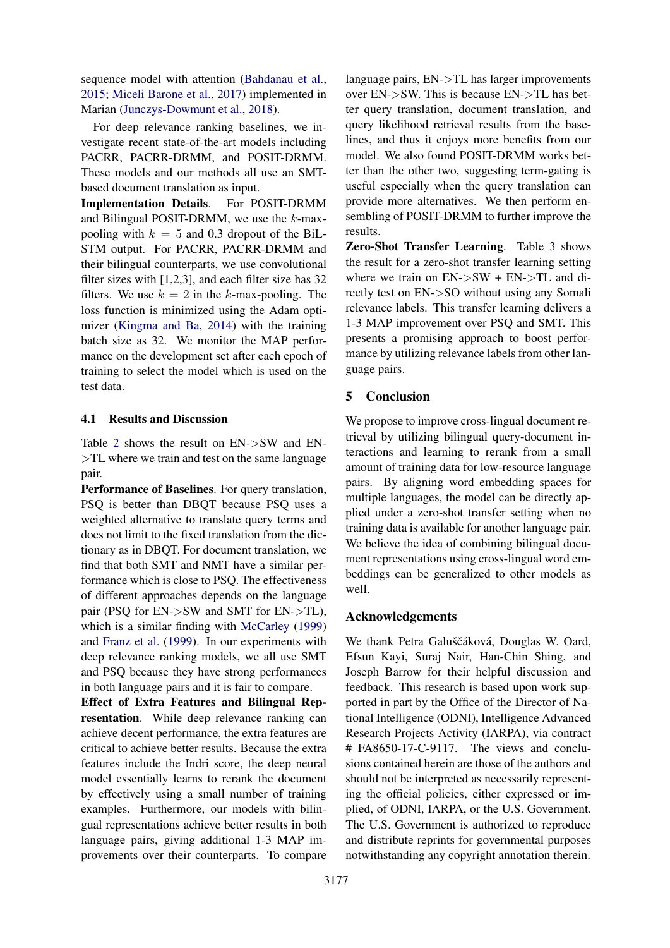sequence model with attention [\(Bahdanau et al.,](#page-5-18) [2015;](#page-5-18) [Miceli Barone et al.,](#page-5-19) [2017\)](#page-5-19) implemented in Marian [\(Junczys-Dowmunt et al.,](#page-5-20) [2018\)](#page-5-20).

For deep relevance ranking baselines, we investigate recent state-of-the-art models including PACRR, PACRR-DRMM, and POSIT-DRMM. These models and our methods all use an SMTbased document translation as input.

Implementation Details. For POSIT-DRMM and Bilingual POSIT-DRMM, we use the  $k$ -maxpooling with  $k = 5$  and 0.3 dropout of the BiL-STM output. For PACRR, PACRR-DRMM and their bilingual counterparts, we use convolutional filter sizes with [1,2,3], and each filter size has 32 filters. We use  $k = 2$  in the k-max-pooling. The loss function is minimized using the Adam optimizer [\(Kingma and Ba,](#page-5-21) [2014\)](#page-5-21) with the training batch size as 32. We monitor the MAP performance on the development set after each epoch of training to select the model which is used on the test data.

### 4.1 Results and Discussion

Table [2](#page-3-5) shows the result on EN->SW and EN- >TL where we train and test on the same language pair.

Performance of Baselines. For query translation, PSQ is better than DBQT because PSQ uses a weighted alternative to translate query terms and does not limit to the fixed translation from the dictionary as in DBQT. For document translation, we find that both SMT and NMT have a similar performance which is close to PSQ. The effectiveness of different approaches depends on the language pair (PSQ for EN->SW and SMT for EN->TL), which is a similar finding with [McCarley](#page-5-9) [\(1999\)](#page-5-9) and [Franz et al.](#page-5-10) [\(1999\)](#page-5-10). In our experiments with deep relevance ranking models, we all use SMT and PSQ because they have strong performances in both language pairs and it is fair to compare.

Effect of Extra Features and Bilingual Representation. While deep relevance ranking can achieve decent performance, the extra features are critical to achieve better results. Because the extra features include the Indri score, the deep neural model essentially learns to rerank the document by effectively using a small number of training examples. Furthermore, our models with bilingual representations achieve better results in both language pairs, giving additional 1-3 MAP improvements over their counterparts. To compare

language pairs, EN->TL has larger improvements over EN->SW. This is because EN->TL has better query translation, document translation, and query likelihood retrieval results from the baselines, and thus it enjoys more benefits from our model. We also found POSIT-DRMM works better than the other two, suggesting term-gating is useful especially when the query translation can provide more alternatives. We then perform ensembling of POSIT-DRMM to further improve the results.

Zero-Shot Transfer Learning. Table [3](#page-3-0) shows the result for a zero-shot transfer learning setting where we train on  $EN->SW + EN->TL$  and directly test on EN->SO without using any Somali relevance labels. This transfer learning delivers a 1-3 MAP improvement over PSQ and SMT. This presents a promising approach to boost performance by utilizing relevance labels from other language pairs.

# 5 Conclusion

We propose to improve cross-lingual document retrieval by utilizing bilingual query-document interactions and learning to rerank from a small amount of training data for low-resource language pairs. By aligning word embedding spaces for multiple languages, the model can be directly applied under a zero-shot transfer setting when no training data is available for another language pair. We believe the idea of combining bilingual document representations using cross-lingual word embeddings can be generalized to other models as well.

### Acknowledgements

We thank Petra Galuščáková, Douglas W. Oard, Efsun Kayi, Suraj Nair, Han-Chin Shing, and Joseph Barrow for their helpful discussion and feedback. This research is based upon work supported in part by the Office of the Director of National Intelligence (ODNI), Intelligence Advanced Research Projects Activity (IARPA), via contract # FA8650-17-C-9117. The views and conclusions contained herein are those of the authors and should not be interpreted as necessarily representing the official policies, either expressed or implied, of ODNI, IARPA, or the U.S. Government. The U.S. Government is authorized to reproduce and distribute reprints for governmental purposes notwithstanding any copyright annotation therein.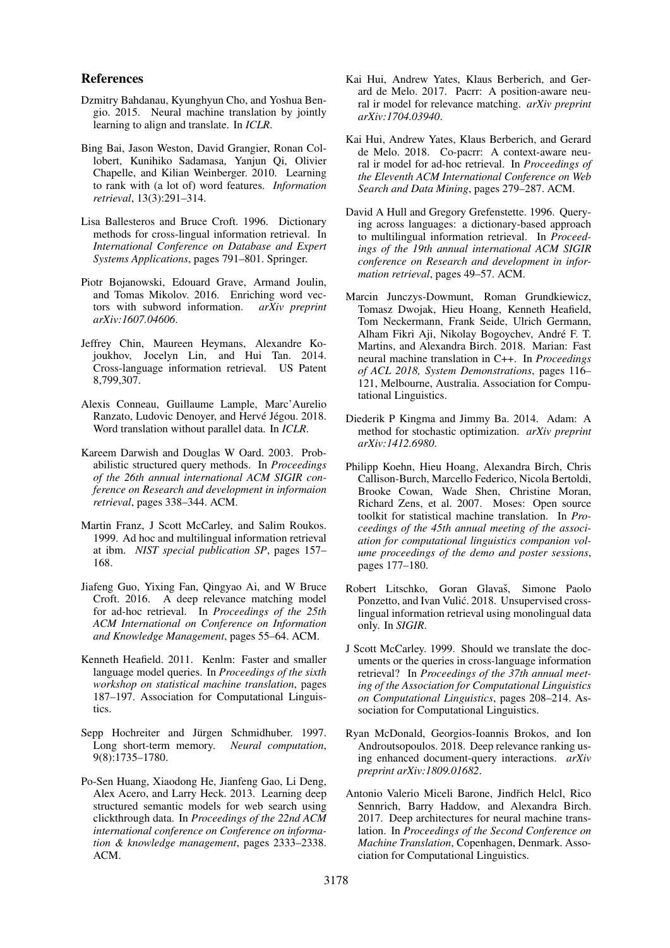#### References

- <span id="page-5-18"></span>Dzmitry Bahdanau, Kyunghyun Cho, and Yoshua Bengio. 2015. Neural machine translation by jointly learning to align and translate. In *ICLR*.
- <span id="page-5-12"></span>Bing Bai, Jason Weston, David Grangier, Ronan Collobert, Kunihiko Sadamasa, Yanjun Qi, Olivier Chapelle, and Kilian Weinberger. 2010. Learning to rank with (a lot of) word features. *Information retrieval*, 13(3):291–314.
- <span id="page-5-1"></span>Lisa Ballesteros and Bruce Croft. 1996. Dictionary methods for cross-lingual information retrieval. In *International Conference on Database and Expert Systems Applications*, pages 791–801. Springer.
- <span id="page-5-15"></span>Piotr Bojanowski, Edouard Grave, Armand Joulin, and Tomas Mikolov. 2016. Enriching word vectors with subword information. *arXiv preprint arXiv:1607.04606*.
- <span id="page-5-11"></span>Jeffrey Chin, Maureen Heymans, Alexandre Kojoukhov, Jocelyn Lin, and Hui Tan. 2014. Cross-language information retrieval. US Patent 8,799,307.
- <span id="page-5-14"></span>Alexis Conneau, Guillaume Lample, Marc'Aurelio Ranzato, Ludovic Denoyer, and Hervé Jégou. 2018. Word translation without parallel data. In *ICLR*.
- <span id="page-5-2"></span>Kareem Darwish and Douglas W Oard. 2003. Probabilistic structured query methods. In *Proceedings of the 26th annual international ACM SIGIR conference on Research and development in informaion retrieval*, pages 338–344. ACM.
- <span id="page-5-10"></span>Martin Franz, J Scott McCarley, and Salim Roukos. 1999. Ad hoc and multilingual information retrieval at ibm. *NIST special publication SP*, pages 157– 168.
- <span id="page-5-4"></span>Jiafeng Guo, Yixing Fan, Qingyao Ai, and W Bruce Croft. 2016. A deep relevance matching model for ad-hoc retrieval. In *Proceedings of the 25th ACM International on Conference on Information and Knowledge Management*, pages 55–64. ACM.
- <span id="page-5-17"></span>Kenneth Heafield. 2011. Kenlm: Faster and smaller language model queries. In *Proceedings of the sixth workshop on statistical machine translation*, pages 187–197. Association for Computational Linguistics.
- <span id="page-5-8"></span>Sepp Hochreiter and Jürgen Schmidhuber. 1997. Long short-term memory. *Neural computation*, 9(8):1735–1780.
- <span id="page-5-3"></span>Po-Sen Huang, Xiaodong He, Jianfeng Gao, Li Deng, Alex Acero, and Larry Heck. 2013. Learning deep structured semantic models for web search using clickthrough data. In *Proceedings of the 22nd ACM international conference on Conference on information & knowledge management*, pages 2333–2338. ACM.
- <span id="page-5-5"></span>Kai Hui, Andrew Yates, Klaus Berberich, and Gerard de Melo. 2017. Pacrr: A position-aware neural ir model for relevance matching. *arXiv preprint arXiv:1704.03940*.
- <span id="page-5-6"></span>Kai Hui, Andrew Yates, Klaus Berberich, and Gerard de Melo. 2018. Co-pacrr: A context-aware neural ir model for ad-hoc retrieval. In *Proceedings of the Eleventh ACM International Conference on Web Search and Data Mining*, pages 279–287. ACM.
- <span id="page-5-0"></span>David A Hull and Gregory Grefenstette. 1996. Querying across languages: a dictionary-based approach to multilingual information retrieval. In *Proceedings of the 19th annual international ACM SIGIR conference on Research and development in information retrieval*, pages 49–57. ACM.
- <span id="page-5-20"></span>Marcin Junczys-Dowmunt, Roman Grundkiewicz, Tomasz Dwojak, Hieu Hoang, Kenneth Heafield, Tom Neckermann, Frank Seide, Ulrich Germann, Alham Fikri Aji, Nikolay Bogoychev, Andre F. T. ´ Martins, and Alexandra Birch. 2018. Marian: Fast neural machine translation in C++. In *Proceedings of ACL 2018, System Demonstrations*, pages 116– 121, Melbourne, Australia. Association for Computational Linguistics.
- <span id="page-5-21"></span>Diederik P Kingma and Jimmy Ba. 2014. Adam: A method for stochastic optimization. *arXiv preprint arXiv:1412.6980*.
- <span id="page-5-16"></span>Philipp Koehn, Hieu Hoang, Alexandra Birch, Chris Callison-Burch, Marcello Federico, Nicola Bertoldi, Brooke Cowan, Wade Shen, Christine Moran, Richard Zens, et al. 2007. Moses: Open source toolkit for statistical machine translation. In *Proceedings of the 45th annual meeting of the association for computational linguistics companion volume proceedings of the demo and poster sessions*, pages 177–180.
- <span id="page-5-13"></span>Robert Litschko, Goran Glavaš, Simone Paolo Ponzetto, and Ivan Vulić. 2018. Unsupervised crosslingual information retrieval using monolingual data only. In *SIGIR*.
- <span id="page-5-9"></span>J Scott McCarley. 1999. Should we translate the documents or the queries in cross-language information retrieval? In *Proceedings of the 37th annual meeting of the Association for Computational Linguistics on Computational Linguistics*, pages 208–214. Association for Computational Linguistics.
- <span id="page-5-7"></span>Ryan McDonald, Georgios-Ioannis Brokos, and Ion Androutsopoulos. 2018. Deep relevance ranking using enhanced document-query interactions. *arXiv preprint arXiv:1809.01682*.
- <span id="page-5-19"></span>Antonio Valerio Miceli Barone, Jindřich Helcl, Rico Sennrich, Barry Haddow, and Alexandra Birch. 2017. Deep architectures for neural machine translation. In *Proceedings of the Second Conference on Machine Translation*, Copenhagen, Denmark. Association for Computational Linguistics.